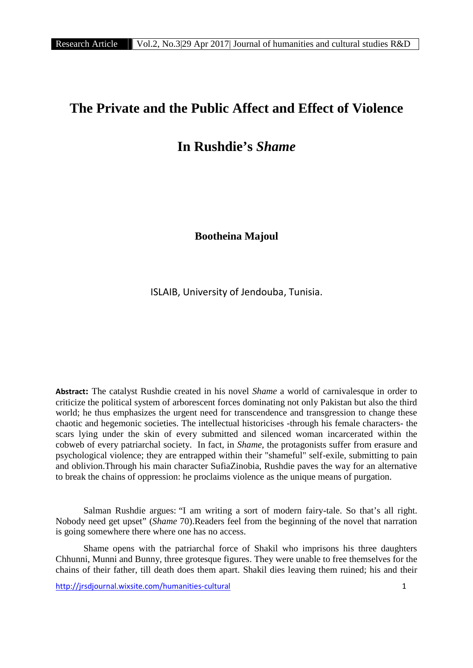## **The Private and the Public Affect and Effect of Violence**

## **In Rushdie's** *Shame*

**Bootheina Majoul**

ISLAIB, University of Jendouba, Tunisia.

**Abstract:** The catalyst Rushdie created in his novel *Shame* a world of carnivalesque in order to criticize the political system of arborescent forces dominating not only Pakistan but also the third world; he thus emphasizes the urgent need for transcendence and transgression to change these chaotic and hegemonic societies. The intellectual historicises -through his female characters- the scars lying under the skin of every submitted and silenced woman incarcerated within the cobweb of every patriarchal society. In fact, in *Shame*, the protagonists suffer from erasure and psychological violence; they are entrapped within their "shameful" self-exile, submitting to pain and oblivion.Through his main character SufiaZinobia, Rushdie paves the way for an alternative to break the chains of oppression: he proclaims violence as the unique means of purgation.

Salman Rushdie argues: "I am writing a sort of modern fairy-tale. So that's all right. Nobody need get upset" (*Shame* 70).Readers feel from the beginning of the novel that narration is going somewhere there where one has no access.

Shame opens with the patriarchal force of Shakil who imprisons his three daughters Chhunni, Munni and Bunny, three grotesque figures. They were unable to free themselves for the chains of their father, till death does them apart. Shakil dies leaving them ruined; his and their

http://jrsdjournal.wixsite.com/humanities-cultural 1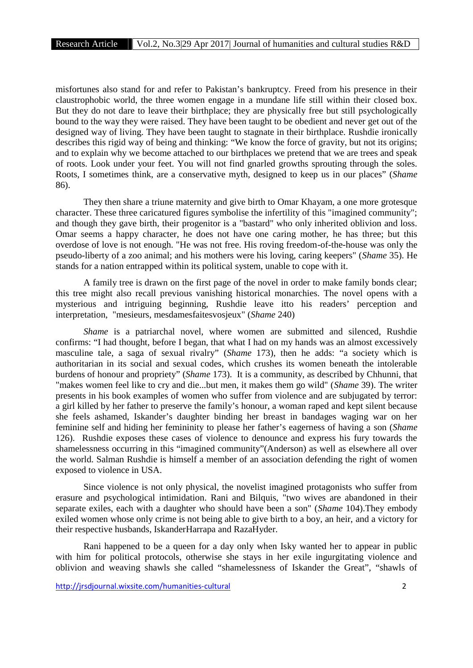misfortunes also stand for and refer to Pakistan's bankruptcy. Freed from his presence in their claustrophobic world, the three women engage in a mundane life still within their closed box. But they do not dare to leave their birthplace; they are physically free but still psychologically bound to the way they were raised. They have been taught to be obedient and never get out of the designed way of living. They have been taught to stagnate in their birthplace. Rushdie ironically describes this rigid way of being and thinking: "We know the force of gravity, but not its origins; and to explain why we become attached to our birthplaces we pretend that we are trees and speak of roots. Look under your feet. You will not find gnarled growths sprouting through the soles. Roots, I sometimes think, are a conservative myth, designed to keep us in our places" (*Shame* 86).

They then share a triune maternity and give birth to Omar Khayam, a one more grotesque character. These three caricatured figures symbolise the infertility of this "imagined community"; and though they gave birth, their progenitor is a "bastard" who only inherited oblivion and loss. Omar seems a happy character, he does not have one caring mother, he has three; but this overdose of love is not enough. "He was not free. His roving freedom-of-the-house was only the pseudo-liberty of a zoo animal; and his mothers were his loving, caring keepers" (*Shame* 35). He stands for a nation entrapped within its political system, unable to cope with it.

A family tree is drawn on the first page of the novel in order to make family bonds clear; this tree might also recall previous vanishing historical monarchies. The novel opens with a mysterious and intriguing beginning, Rushdie leave itto his readers' perception and interpretation, "mesieurs, mesdamesfaitesvosjeux" (*Shame* 240)

*Shame* is a patriarchal novel, where women are submitted and silenced, Rushdie confirms: "I had thought, before I began, that what I had on my hands was an almost excessively masculine tale, a saga of sexual rivalry" (*Shame* 173), then he adds: "a society which is authoritarian in its social and sexual codes, which crushes its women beneath the intolerable burdens of honour and propriety" (*Shame* 173). It is a community, as described by Chhunni, that "makes women feel like to cry and die...but men, it makes them go wild" (*Shame* 39). The writer presents in his book examples of women who suffer from violence and are subjugated by terror: a girl killed by her father to preserve the family's honour, a woman raped and kept silent because she feels ashamed, Iskander's daughter binding her breast in bandages waging war on her feminine self and hiding her femininity to please her father's eagerness of having a son (*Shame* 126). Rushdie exposes these cases of violence to denounce and express his fury towards the shamelessness occurring in this "imagined community"(Anderson) as well as elsewhere all over the world. Salman Rushdie is himself a member of an association defending the right of women exposed to violence in USA.

Since violence is not only physical, the novelist imagined protagonists who suffer from erasure and psychological intimidation. Rani and Bilquis, "two wives are abandoned in their separate exiles, each with a daughter who should have been a son" (*Shame* 104).They embody exiled women whose only crime is not being able to give birth to a boy, an heir, and a victory for their respective husbands, IskanderHarrapa and RazaHyder.

Rani happened to be a queen for a day only when Isky wanted her to appear in public with him for political protocols, otherwise she stays in her exile ingurgitating violence and oblivion and weaving shawls she called "shamelessness of Iskander the Great", "shawls of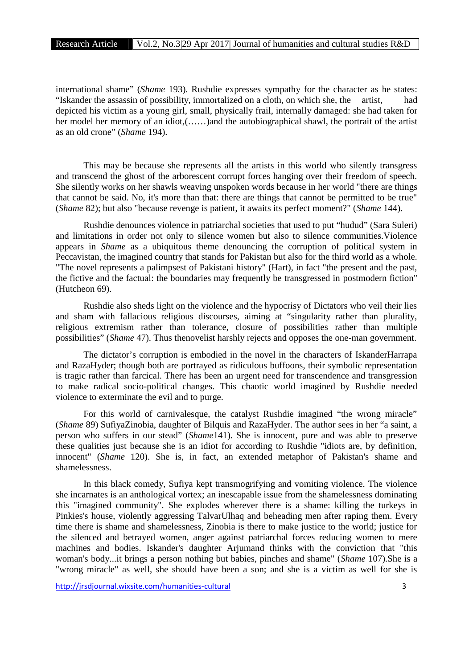international shame" (*Shame* 193). Rushdie expresses sympathy for the character as he states: "Iskander the assassin of possibility, immortalized on a cloth, on which she, the artist, depicted his victim as a young girl, small, physically frail, internally damaged: she had taken for her model her memory of an idiot,(……)and the autobiographical shawl, the portrait of the artist as an old crone" (*Shame* 194).

This may be because she represents all the artists in this world who silently transgress and transcend the ghost of the arborescent corrupt forces hanging over their freedom of speech. She silently works on her shawls weaving unspoken words because in her world "there are things that cannot be said. No, it's more than that: there are things that cannot be permitted to be true" (*Shame* 82); but also "because revenge is patient, it awaits its perfect moment?" (*Shame* 144).

Rushdie denounces violence in patriarchal societies that used to put "hudud" (Sara Suleri) and limitations in order not only to silence women but also to silence communities.Violence appears in *Shame* as a ubiquitous theme denouncing the corruption of political system in Peccavistan, the imagined country that stands for Pakistan but also for the third world as a whole. "The novel represents a palimpsest of Pakistani history" (Hart), in fact "the present and the past, the fictive and the factual: the boundaries may frequently be transgressed in postmodern fiction" (Hutcheon 69).

Rushdie also sheds light on the violence and the hypocrisy of Dictators who veil their lies and sham with fallacious religious discourses, aiming at "singularity rather than plurality, religious extremism rather than tolerance, closure of possibilities rather than multiple possibilities" (*Shame* 47). Thus thenovelist harshly rejects and opposes the one-man government.

The dictator's corruption is embodied in the novel in the characters of IskanderHarrapa and RazaHyder; though both are portrayed as ridiculous buffoons, their symbolic representation is tragic rather than farcical. There has been an urgent need for transcendence and transgression to make radical socio-political changes. This chaotic world imagined by Rushdie needed violence to exterminate the evil and to purge.

For this world of carnivalesque, the catalyst Rushdie imagined "the wrong miracle" (*Shame* 89) SufiyaZinobia, daughter of Bilquis and RazaHyder. The author sees in her "a saint, a person who suffers in our stead" (*Shame*141). She is innocent, pure and was able to preserve these qualities just because she is an idiot for according to Rushdie "idiots are, by definition, innocent" (*Shame* 120). She is, in fact, an extended metaphor of Pakistan's shame and shamelessness.

In this black comedy, Sufiya kept transmogrifying and vomiting violence. The violence she incarnates is an anthological vortex; an inescapable issue from the shamelessness dominating this "imagined community". She explodes wherever there is a shame: killing the turkeys in Pinkies's house, violently aggressing TalvarUlhaq and beheading men after raping them. Every time there is shame and shamelessness, Zinobia is there to make justice to the world; justice for the silenced and betrayed women, anger against patriarchal forces reducing women to mere machines and bodies. Iskander's daughter Arjumand thinks with the conviction that "this woman's body...it brings a person nothing but babies, pinches and shame" (*Shame* 107).She is a "wrong miracle" as well, she should have been a son; and she is a victim as well for she is

http://jrsdjournal.wixsite.com/humanities-cultural 3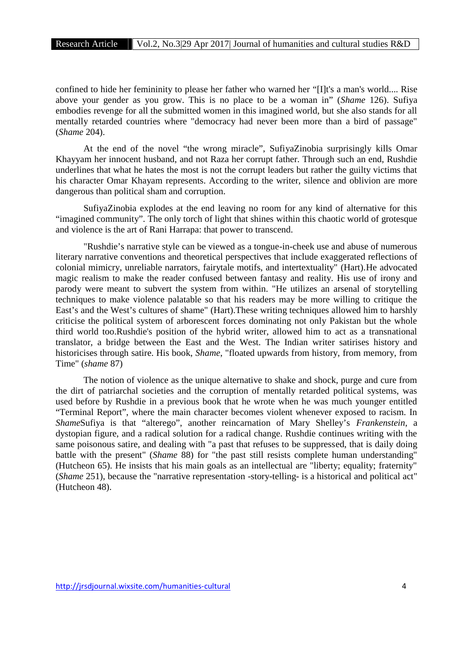confined to hide her femininity to please her father who warned her "[I]t's a man's world.... Rise above your gender as you grow. This is no place to be a woman in" (*Shame* 126). Sufiya embodies revenge for all the submitted women in this imagined world, but she also stands for all mentally retarded countries where "democracy had never been more than a bird of passage" (*Shame* 204).

At the end of the novel "the wrong miracle", SufiyaZinobia surprisingly kills Omar Khayyam her innocent husband, and not Raza her corrupt father. Through such an end, Rushdie underlines that what he hates the most is not the corrupt leaders but rather the guilty victims that his character Omar Khayam represents. According to the writer, silence and oblivion are more dangerous than political sham and corruption.

SufiyaZinobia explodes at the end leaving no room for any kind of alternative for this "imagined community". The only torch of light that shines within this chaotic world of grotesque and violence is the art of Rani Harrapa: that power to transcend.

"Rushdie's narrative style can be viewed as a tongue-in-cheek use and abuse of numerous literary narrative conventions and theoretical perspectives that include exaggerated reflections of colonial mimicry, unreliable narrators, fairytale motifs, and intertextuality" (Hart).He advocated magic realism to make the reader confused between fantasy and reality. His use of irony and parody were meant to subvert the system from within. "He utilizes an arsenal of storytelling techniques to make violence palatable so that his readers may be more willing to critique the East's and the West's cultures of shame" (Hart).These writing techniques allowed him to harshly criticise the political system of arborescent forces dominating not only Pakistan but the whole third world too.Rushdie's position of the hybrid writer, allowed him to act as a transnational translator, a bridge between the East and the West. The Indian writer satirises history and historicises through satire. His book, *Shame*, "floated upwards from history, from memory, from Time" (*shame* 87)

The notion of violence as the unique alternative to shake and shock, purge and cure from the dirt of patriarchal societies and the corruption of mentally retarded political systems, was used before by Rushdie in a previous book that he wrote when he was much younger entitled "Terminal Report", where the main character becomes violent whenever exposed to racism. In *Shame*Sufiya is that "alterego", another reincarnation of Mary Shelley's *Frankenstein*, a dystopian figure, and a radical solution for a radical change. Rushdie continues writing with the same poisonous satire, and dealing with "a past that refuses to be suppressed, that is daily doing battle with the present" (*Shame* 88) for "the past still resists complete human understanding" (Hutcheon 65). He insists that his main goals as an intellectual are "liberty; equality; fraternity" (*Shame* 251), because the "narrative representation -story-telling- is a historical and political act" (Hutcheon 48).